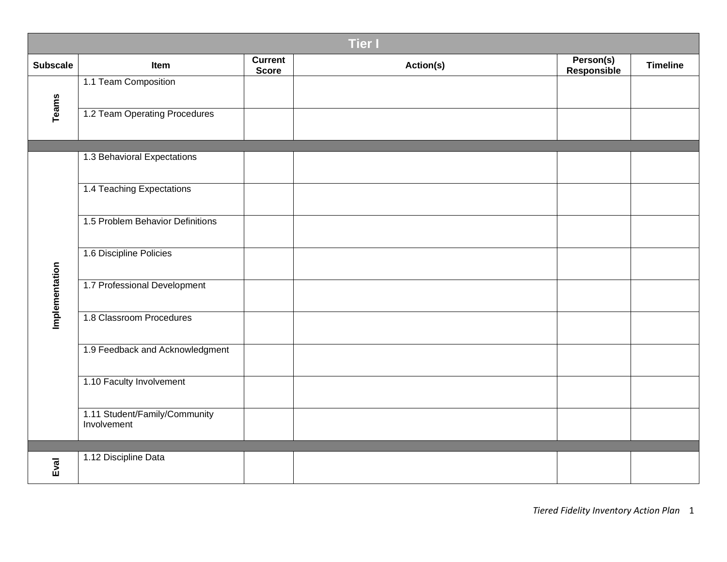| <b>Tier I</b>   |                                              |                         |           |                          |                 |  |
|-----------------|----------------------------------------------|-------------------------|-----------|--------------------------|-----------------|--|
| <b>Subscale</b> | Item                                         | Current<br><b>Score</b> | Action(s) | Person(s)<br>Responsible | <b>Timeline</b> |  |
| <b>Teams</b>    | 1.1 Team Composition                         |                         |           |                          |                 |  |
|                 | 1.2 Team Operating Procedures                |                         |           |                          |                 |  |
|                 | 1.3 Behavioral Expectations                  |                         |           |                          |                 |  |
|                 |                                              |                         |           |                          |                 |  |
|                 | 1.4 Teaching Expectations                    |                         |           |                          |                 |  |
| Implementation  | 1.5 Problem Behavior Definitions             |                         |           |                          |                 |  |
|                 | 1.6 Discipline Policies                      |                         |           |                          |                 |  |
|                 | 1.7 Professional Development                 |                         |           |                          |                 |  |
|                 | 1.8 Classroom Procedures                     |                         |           |                          |                 |  |
|                 | 1.9 Feedback and Acknowledgment              |                         |           |                          |                 |  |
|                 | 1.10 Faculty Involvement                     |                         |           |                          |                 |  |
|                 | 1.11 Student/Family/Community<br>Involvement |                         |           |                          |                 |  |
|                 |                                              |                         |           |                          |                 |  |
| $E$ val         | 1.12 Discipline Data                         |                         |           |                          |                 |  |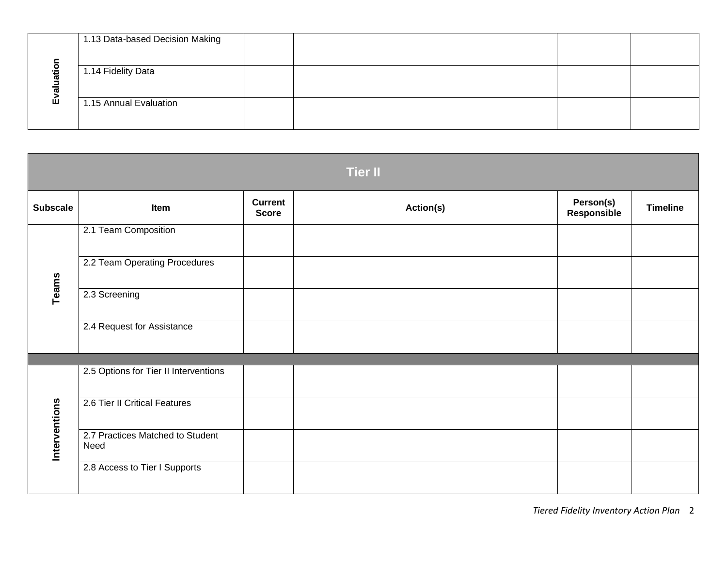| $\bullet$<br>÷<br>Ш | 1.13 Data-based Decision Making |  |  |
|---------------------|---------------------------------|--|--|
|                     | 1.14 Fidelity Data              |  |  |
|                     | 1.15 Annual Evaluation          |  |  |

| <b>Tier II</b>  |                                          |                                |           |                          |                 |  |
|-----------------|------------------------------------------|--------------------------------|-----------|--------------------------|-----------------|--|
| <b>Subscale</b> | Item                                     | <b>Current</b><br><b>Score</b> | Action(s) | Person(s)<br>Responsible | <b>Timeline</b> |  |
| Teams           | 2.1 Team Composition                     |                                |           |                          |                 |  |
|                 | 2.2 Team Operating Procedures            |                                |           |                          |                 |  |
|                 | 2.3 Screening                            |                                |           |                          |                 |  |
|                 | 2.4 Request for Assistance               |                                |           |                          |                 |  |
|                 |                                          |                                |           |                          |                 |  |
| Interventions   | 2.5 Options for Tier II Interventions    |                                |           |                          |                 |  |
|                 | 2.6 Tier II Critical Features            |                                |           |                          |                 |  |
|                 | 2.7 Practices Matched to Student<br>Need |                                |           |                          |                 |  |
|                 | 2.8 Access to Tier I Supports            |                                |           |                          |                 |  |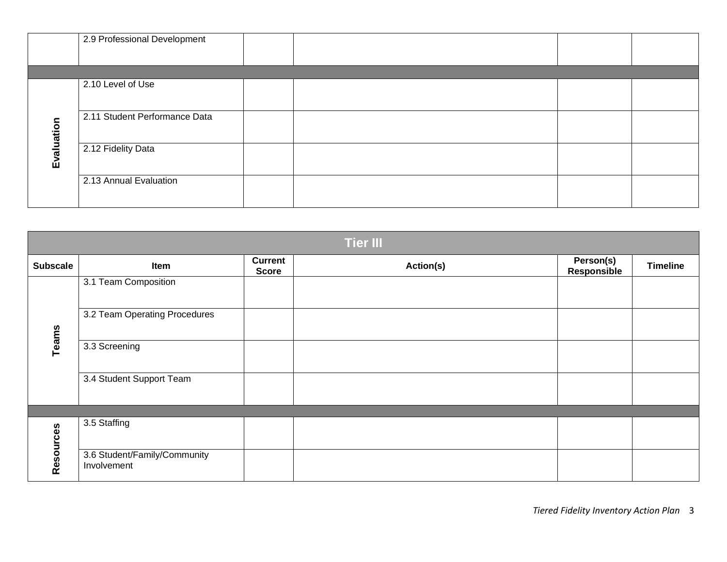|            | 2.9 Professional Development  |  |  |
|------------|-------------------------------|--|--|
|            |                               |  |  |
| Evaluation | 2.10 Level of Use             |  |  |
|            | 2.11 Student Performance Data |  |  |
|            | 2.12 Fidelity Data            |  |  |
|            | 2.13 Annual Evaluation        |  |  |

| <b>Tier III</b> |                                             |                                |           |                                 |                 |  |
|-----------------|---------------------------------------------|--------------------------------|-----------|---------------------------------|-----------------|--|
| <b>Subscale</b> | Item                                        | <b>Current</b><br><b>Score</b> | Action(s) | Person(s)<br><b>Responsible</b> | <b>Timeline</b> |  |
| Teams           | 3.1 Team Composition                        |                                |           |                                 |                 |  |
|                 | 3.2 Team Operating Procedures               |                                |           |                                 |                 |  |
|                 | 3.3 Screening                               |                                |           |                                 |                 |  |
|                 | 3.4 Student Support Team                    |                                |           |                                 |                 |  |
|                 |                                             |                                |           |                                 |                 |  |
| Resources       | 3.5 Staffing                                |                                |           |                                 |                 |  |
|                 | 3.6 Student/Family/Community<br>Involvement |                                |           |                                 |                 |  |